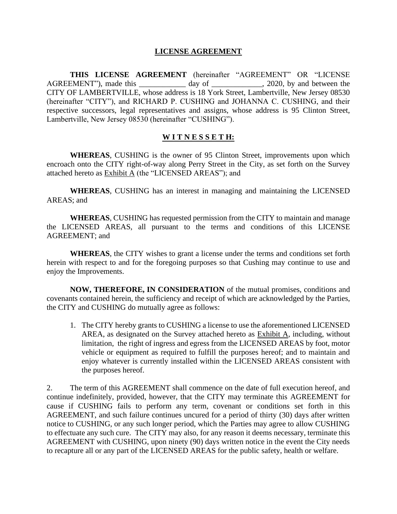## **LICENSE AGREEMENT**

**THIS LICENSE AGREEMENT** (hereinafter "AGREEMENT" OR "LICENSE AGREEMENT"), made this day of 3020, by and between the CITY OF LAMBERTVILLE, whose address is 18 York Street, Lambertville, New Jersey 08530 (hereinafter "CITY"), and RICHARD P. CUSHING and JOHANNA C. CUSHING, and their respective successors, legal representatives and assigns, whose address is 95 Clinton Street, Lambertville, New Jersey 08530 (hereinafter "CUSHING").

# **W I T N E S S E T H:**

**WHEREAS**, CUSHING is the owner of 95 Clinton Street, improvements upon which encroach onto the CITY right-of-way along Perry Street in the City, as set forth on the Survey attached hereto as Exhibit A (the "LICENSED AREAS"); and

**WHEREAS**, CUSHING has an interest in managing and maintaining the LICENSED AREAS; and

**WHEREAS**, CUSHING has requested permission from the CITY to maintain and manage the LICENSED AREAS, all pursuant to the terms and conditions of this LICENSE AGREEMENT; and

**WHEREAS**, the CITY wishes to grant a license under the terms and conditions set forth herein with respect to and for the foregoing purposes so that Cushing may continue to use and enjoy the Improvements.

**NOW, THEREFORE, IN CONSIDERATION** of the mutual promises, conditions and covenants contained herein, the sufficiency and receipt of which are acknowledged by the Parties, the CITY and CUSHING do mutually agree as follows:

1. The CITY hereby grants to CUSHING a license to use the aforementioned LICENSED AREA, as designated on the Survey attached hereto as Exhibit A, including, without limitation, the right of ingress and egress from the LICENSED AREAS by foot, motor vehicle or equipment as required to fulfill the purposes hereof; and to maintain and enjoy whatever is currently installed within the LICENSED AREAS consistent with the purposes hereof.

2. The term of this AGREEMENT shall commence on the date of full execution hereof, and continue indefinitely, provided, however, that the CITY may terminate this AGREEMENT for cause if CUSHING fails to perform any term, covenant or conditions set forth in this AGREEMENT, and such failure continues uncured for a period of thirty (30) days after written notice to CUSHING, or any such longer period, which the Parties may agree to allow CUSHING to effectuate any such cure. The CITY may also, for any reason it deems necessary, terminate this AGREEMENT with CUSHING, upon ninety (90) days written notice in the event the City needs to recapture all or any part of the LICENSED AREAS for the public safety, health or welfare.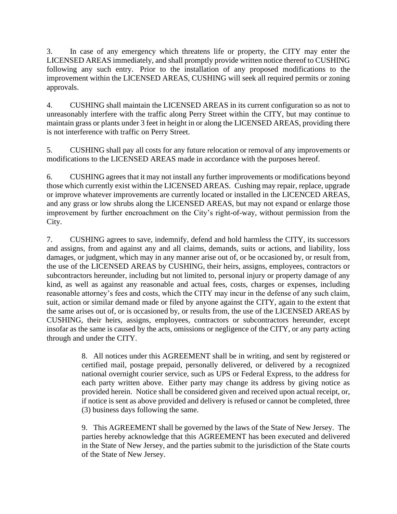3. In case of any emergency which threatens life or property, the CITY may enter the LICENSED AREAS immediately, and shall promptly provide written notice thereof to CUSHING following any such entry. Prior to the installation of any proposed modifications to the improvement within the LICENSED AREAS, CUSHING will seek all required permits or zoning approvals.

4. CUSHING shall maintain the LICENSED AREAS in its current configuration so as not to unreasonably interfere with the traffic along Perry Street within the CITY, but may continue to maintain grass or plants under 3 feet in height in or along the LICENSED AREAS, providing there is not interference with traffic on Perry Street.

5. CUSHING shall pay all costs for any future relocation or removal of any improvements or modifications to the LICENSED AREAS made in accordance with the purposes hereof.

6. CUSHING agrees that it may not install any further improvements or modifications beyond those which currently exist within the LICENSED AREAS. Cushing may repair, replace, upgrade or improve whatever improvements are currently located or installed in the LICENCED AREAS, and any grass or low shrubs along the LICENSED AREAS, but may not expand or enlarge those improvement by further encroachment on the City's right-of-way, without permission from the City.

7. CUSHING agrees to save, indemnify, defend and hold harmless the CITY, its successors and assigns, from and against any and all claims, demands, suits or actions, and liability, loss damages, or judgment, which may in any manner arise out of, or be occasioned by, or result from, the use of the LICENSED AREAS by CUSHING, their heirs, assigns, employees, contractors or subcontractors hereunder, including but not limited to, personal injury or property damage of any kind, as well as against any reasonable and actual fees, costs, charges or expenses, including reasonable attorney's fees and costs, which the CITY may incur in the defense of any such claim, suit, action or similar demand made or filed by anyone against the CITY, again to the extent that the same arises out of, or is occasioned by, or results from, the use of the LICENSED AREAS by CUSHING, their heirs, assigns, employees, contractors or subcontractors hereunder, except insofar as the same is caused by the acts, omissions or negligence of the CITY, or any party acting through and under the CITY.

> 8. All notices under this AGREEMENT shall be in writing, and sent by registered or certified mail, postage prepaid, personally delivered, or delivered by a recognized national overnight courier service, such as UPS or Federal Express, to the address for each party written above. Either party may change its address by giving notice as provided herein. Notice shall be considered given and received upon actual receipt, or, if notice is sent as above provided and delivery is refused or cannot be completed, three (3) business days following the same.

> 9. This AGREEMENT shall be governed by the laws of the State of New Jersey. The parties hereby acknowledge that this AGREEMENT has been executed and delivered in the State of New Jersey, and the parties submit to the jurisdiction of the State courts of the State of New Jersey.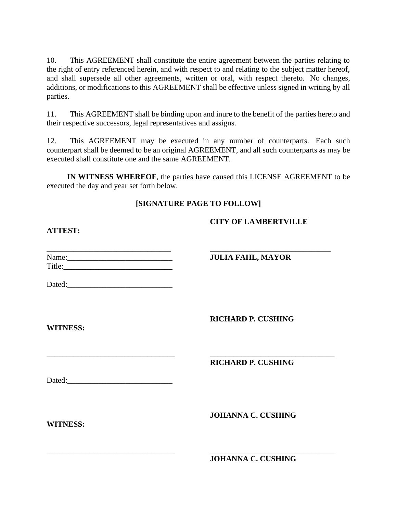10. This AGREEMENT shall constitute the entire agreement between the parties relating to the right of entry referenced herein, and with respect to and relating to the subject matter hereof, and shall supersede all other agreements, written or oral, with respect thereto. No changes, additions, or modifications to this AGREEMENT shall be effective unless signed in writing by all parties.

11. This AGREEMENT shall be binding upon and inure to the benefit of the parties hereto and their respective successors, legal representatives and assigns.

12. This AGREEMENT may be executed in any number of counterparts. Each such counterpart shall be deemed to be an original AGREEMENT, and all such counterparts as may be executed shall constitute one and the same AGREEMENT.

**IN WITNESS WHEREOF**, the parties have caused this LICENSE AGREEMENT to be executed the day and year set forth below.

# **[SIGNATURE PAGE TO FOLLOW]**

\_\_\_\_\_\_\_\_\_\_\_\_\_\_\_\_\_\_\_\_\_\_\_\_\_\_\_\_\_\_\_\_\_ \_\_\_\_\_\_\_\_\_\_\_\_\_\_\_\_\_\_\_\_\_\_\_\_\_\_\_\_\_\_\_\_

# **CITY OF LAMBERTVILLE**

**ATTEST:**

| Name:  |  |  |
|--------|--|--|
| Title: |  |  |

Dated:

**RICHARD P. CUSHING**

**RICHARD P. CUSHING**

 $JULIA$  FAHL, MAYOR

Dated:

**JOHANNA C. CUSHING**

**WITNESS:**

**WITNESS:**

\_\_\_\_\_\_\_\_\_\_\_\_\_\_\_\_\_\_\_\_\_\_\_\_\_\_\_\_\_\_\_\_\_ \_\_\_\_\_\_\_\_\_\_\_\_\_\_\_\_\_\_\_\_\_\_\_\_\_\_\_\_\_\_\_\_ **JOHANNA C. CUSHING**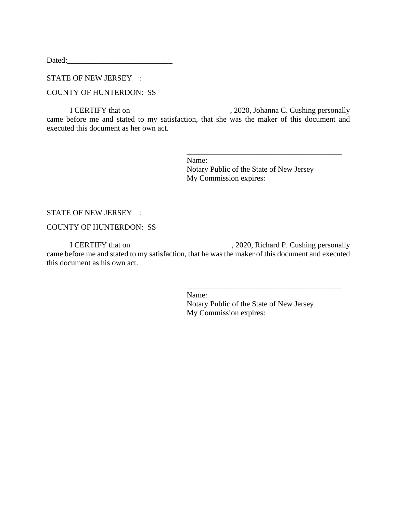Dated:

# STATE OF NEW JERSEY :

## COUNTY OF HUNTERDON: SS

I CERTIFY that on , 2020, Johanna C. Cushing personally came before me and stated to my satisfaction, that she was the maker of this document and executed this document as her own act.

> \_\_\_\_\_\_\_\_\_\_\_\_\_\_\_\_\_\_\_\_\_\_\_\_\_\_\_\_\_\_\_\_\_\_\_\_\_\_\_\_ Name: Notary Public of the State of New Jersey My Commission expires:

#### STATE OF NEW JERSEY :

#### COUNTY OF HUNTERDON: SS

I CERTIFY that on , 2020, Richard P. Cushing personally came before me and stated to my satisfaction, that he was the maker of this document and executed this document as his own act.

Name:

Notary Public of the State of New Jersey My Commission expires:

\_\_\_\_\_\_\_\_\_\_\_\_\_\_\_\_\_\_\_\_\_\_\_\_\_\_\_\_\_\_\_\_\_\_\_\_\_\_\_\_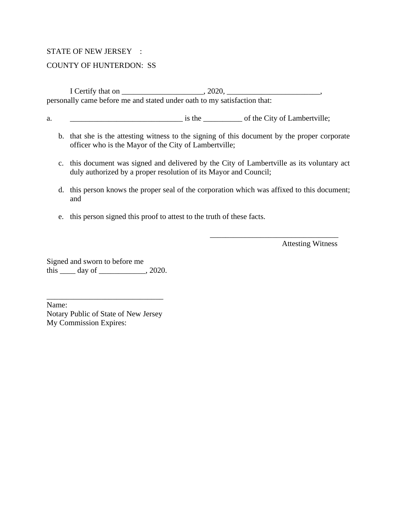## STATE OF NEW JERSEY :

## COUNTY OF HUNTERDON: SS

I Certify that on \_\_\_\_\_\_\_\_\_\_\_\_\_\_\_\_\_\_\_\_\_, 2020, \_\_\_\_\_\_\_\_\_\_\_\_\_\_\_\_\_\_\_\_\_\_\_\_, personally came before me and stated under oath to my satisfaction that:

a.  $\frac{1}{2}$  is the  $\frac{1}{2}$  of the City of Lambertville;

- b. that she is the attesting witness to the signing of this document by the proper corporate officer who is the Mayor of the City of Lambertville;
- c. this document was signed and delivered by the City of Lambertville as its voluntary act duly authorized by a proper resolution of its Mayor and Council;
- d. this person knows the proper seal of the corporation which was affixed to this document; and
- e. this person signed this proof to attest to the truth of these facts.

Attesting Witness

\_\_\_\_\_\_\_\_\_\_\_\_\_\_\_\_\_\_\_\_\_\_\_\_\_\_\_\_\_\_\_\_\_

Signed and sworn to before me this \_\_\_\_\_ day of \_\_\_\_\_\_\_\_\_\_\_, 2020.

Name: Notary Public of State of New Jersey My Commission Expires:

\_\_\_\_\_\_\_\_\_\_\_\_\_\_\_\_\_\_\_\_\_\_\_\_\_\_\_\_\_\_